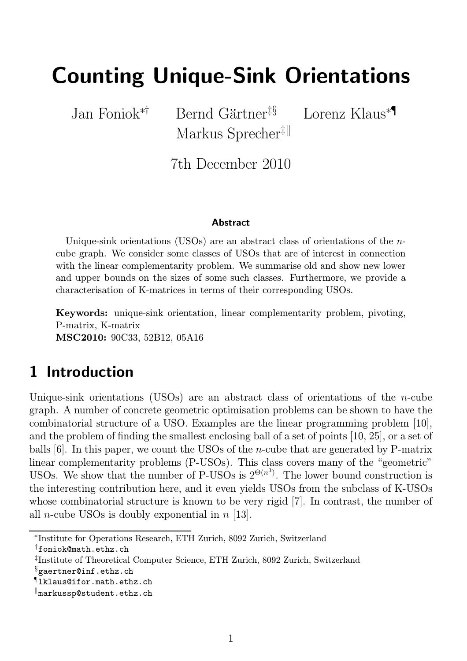# Counting Unique-Sink Orientations

Jan Foniok∗† Bernd Gärtner‡§ Lorenz Klaus∗¶ Markus Sprecher<sup>‡||</sup>

7th December 2010

#### Abstract

Unique-sink orientations (USOs) are an abstract class of orientations of the ncube graph. We consider some classes of USOs that are of interest in connection with the linear complementarity problem. We summarise old and show new lower and upper bounds on the sizes of some such classes. Furthermore, we provide a characterisation of K-matrices in terms of their corresponding USOs.

Keywords: unique-sink orientation, linear complementarity problem, pivoting, P-matrix, K-matrix MSC2010: 90C33, 52B12, 05A16

## 1 Introduction

Unique-sink orientations (USOs) are an abstract class of orientations of the *n*-cube graph. A number of concrete geometric optimisation problems can be shown to have the combinatorial structure of a USO. Examples are the linear programming problem [10], and the problem of finding the smallest enclosing ball of a set of points [10, 25], or a set of balls  $[6]$ . In this paper, we count the USOs of the *n*-cube that are generated by P-matrix linear complementarity problems (P-USOs). This class covers many of the "geometric" USOs. We show that the number of P-USOs is  $2^{\Theta(n^3)}$ . The lower bound construction is the interesting contribution here, and it even yields USOs from the subclass of K-USOs whose combinatorial structure is known to be very rigid [7]. In contrast, the number of all *n*-cube USOs is doubly exponential in  $n$  [13].

<sup>∗</sup> Institute for Operations Research, ETH Zurich, 8092 Zurich, Switzerland

<sup>†</sup>foniok@math.ethz.ch

<sup>‡</sup> Institute of Theoretical Computer Science, ETH Zurich, 8092 Zurich, Switzerland

 $\S$ gaertner@inf.ethz.ch

<sup>¶</sup>lklaus@ifor.math.ethz.ch

<sup>k</sup>markussp@student.ethz.ch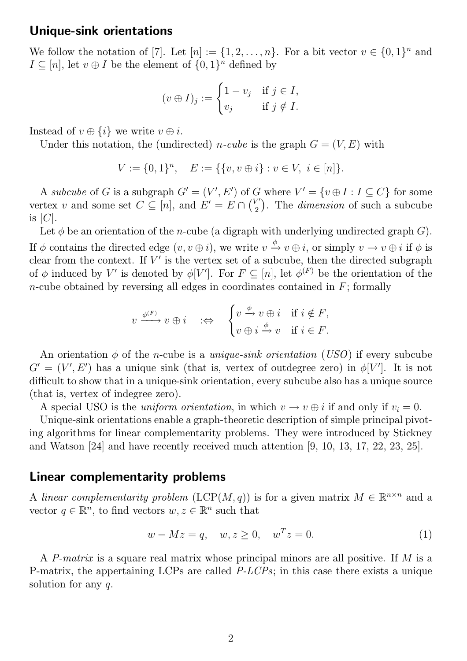#### Unique-sink orientations

We follow the notation of [7]. Let  $[n] := \{1, 2, ..., n\}$ . For a bit vector  $v \in \{0, 1\}^n$  and  $I \subseteq [n]$ , let  $v \oplus I$  be the element of  $\{0,1\}^n$  defined by

$$
(v \oplus I)_j := \begin{cases} 1 - v_j & \text{if } j \in I, \\ v_j & \text{if } j \notin I. \end{cases}
$$

Instead of  $v \oplus \{i\}$  we write  $v \oplus i$ .

Under this notation, the (undirected) *n-cube* is the graph  $G = (V, E)$  with

$$
V := \{0, 1\}^n, \quad E := \{\{v, v \oplus i\} : v \in V, \ i \in [n]\}.
$$

A subcube of G is a subgraph  $G' = (V', E')$  of G where  $V' = \{v \oplus I : I \subseteq C\}$  for some vertex v and some set  $C \subseteq [n]$ , and  $E' = E \cap {V' \choose 2}$  $2 \choose 2$ . The *dimension* of such a subcube is  $|C|$ .

Let  $\phi$  be an orientation of the *n*-cube (a digraph with underlying undirected graph G). If  $\phi$  contains the directed edge  $(v, v \oplus i)$ , we write  $v \stackrel{\phi}{\rightarrow} v \oplus i$ , or simply  $v \rightarrow v \oplus i$  if  $\phi$  is clear from the context. If  $V'$  is the vertex set of a subcube, then the directed subgraph of  $\phi$  induced by V' is denoted by  $\phi[V']$ . For  $F \subseteq [n]$ , let  $\phi^{(F)}$  be the orientation of the n-cube obtained by reversing all edges in coordinates contained in  $F$ ; formally

$$
v \xrightarrow{\phi^{(F)}} v \oplus i \quad : \Leftrightarrow \quad \begin{cases} v \xrightarrow{\phi} v \oplus i & \text{if } i \notin F, \\ v \oplus i \xrightarrow{\phi} v & \text{if } i \in F. \end{cases}
$$

An orientation  $\phi$  of the *n*-cube is a *unique-sink orientation* (USO) if every subcube  $G' = (V', E')$  has a unique sink (that is, vertex of outdegree zero) in  $\phi[V']$ . It is not difficult to show that in a unique-sink orientation, every subcube also has a unique source (that is, vertex of indegree zero).

A special USO is the *uniform orientation*, in which  $v \to v \oplus i$  if and only if  $v_i = 0$ .

Unique-sink orientations enable a graph-theoretic description of simple principal pivoting algorithms for linear complementarity problems. They were introduced by Stickney and Watson [24] and have recently received much attention [9, 10, 13, 17, 22, 23, 25].

#### Linear complementarity problems

A linear complementarity problem (LCP(M,q)) is for a given matrix  $M \in \mathbb{R}^{n \times n}$  and a vector  $q \in \mathbb{R}^n$ , to find vectors  $w, z \in \mathbb{R}^n$  such that

$$
w - Mz = q, \quad w, z \ge 0, \quad w^T z = 0.
$$
 (1)

A P-matrix is a square real matrix whose principal minors are all positive. If M is a P-matrix, the appertaining LCPs are called P-LCPs; in this case there exists a unique solution for any q.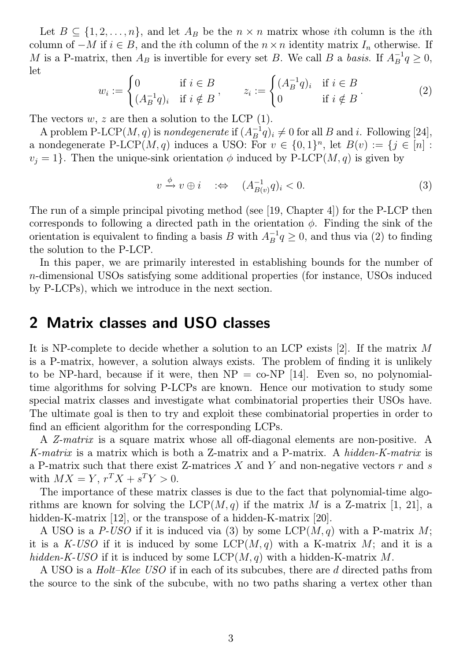Let  $B \subseteq \{1, 2, ..., n\}$ , and let  $A_B$  be the  $n \times n$  matrix whose *i*th column is the *i*th column of  $-M$  if  $i \in B$ , and the *i*th column of the  $n \times n$  identity matrix  $I_n$  otherwise. If M is a P-matrix, then  $A_B$  is invertible for every set B. We call B a basis. If  $A_B^{-1}q \geq 0$ , let

$$
w_i := \begin{cases} 0 & \text{if } i \in B \\ (A_B^{-1}q)_i & \text{if } i \notin B \end{cases}, \qquad z_i := \begin{cases} (A_B^{-1}q)_i & \text{if } i \in B \\ 0 & \text{if } i \notin B \end{cases}.
$$
 (2)

The vectors  $w, z$  are then a solution to the LCP  $(1)$ .

A problem P-LCP $(M, q)$  is nondegenerate if  $(A_B^{-1}q)_i \neq 0$  for all B and i. Following [24], a nondegenerate P-LCP $(M, q)$  induces a USO: For  $v \in \{0, 1\}^n$ , let  $B(v) := \{j \in [n]:$  $v_i = 1$ . Then the unique-sink orientation  $\phi$  induced by P-LCP(M, q) is given by

$$
v \xrightarrow{\phi} v \oplus i \quad : \Leftrightarrow \quad (A_{B(v)}^{-1}q)_i < 0. \tag{3}
$$

The run of a simple principal pivoting method (see [19, Chapter 4]) for the P-LCP then corresponds to following a directed path in the orientation  $\phi$ . Finding the sink of the orientation is equivalent to finding a basis B with  $A_B^{-1}q \geq 0$ , and thus via (2) to finding the solution to the P-LCP.

In this paper, we are primarily interested in establishing bounds for the number of n-dimensional USOs satisfying some additional properties (for instance, USOs induced by P-LCPs), which we introduce in the next section.

## 2 Matrix classes and USO classes

It is NP-complete to decide whether a solution to an LCP exists [2]. If the matrix M is a P-matrix, however, a solution always exists. The problem of finding it is unlikely to be NP-hard, because if it were, then  $NP = co-NP$  [14]. Even so, no polynomialtime algorithms for solving P-LCPs are known. Hence our motivation to study some special matrix classes and investigate what combinatorial properties their USOs have. The ultimate goal is then to try and exploit these combinatorial properties in order to find an efficient algorithm for the corresponding LCPs.

A Z-matrix is a square matrix whose all off-diagonal elements are non-positive. A K-matrix is a matrix which is both a Z-matrix and a P-matrix. A hidden-K-matrix is a P-matrix such that there exist Z-matrices  $X$  and  $Y$  and non-negative vectors  $r$  and  $s$ with  $MX = Y$ ,  $r^T X + s^T Y > 0$ .

The importance of these matrix classes is due to the fact that polynomial-time algorithms are known for solving the LCP $(M, q)$  if the matrix M is a Z-matrix [1, 21], a hidden-K-matrix [12], or the transpose of a hidden-K-matrix [20].

A USO is a P-USO if it is induced via (3) by some  $LCP(M, q)$  with a P-matrix M; it is a K-USO if it is induced by some  $LCP(M, q)$  with a K-matrix M; and it is a hidden-K-USO if it is induced by some  $LCP(M, q)$  with a hidden-K-matrix M.

A USO is a Holt–Klee USO if in each of its subcubes, there are d directed paths from the source to the sink of the subcube, with no two paths sharing a vertex other than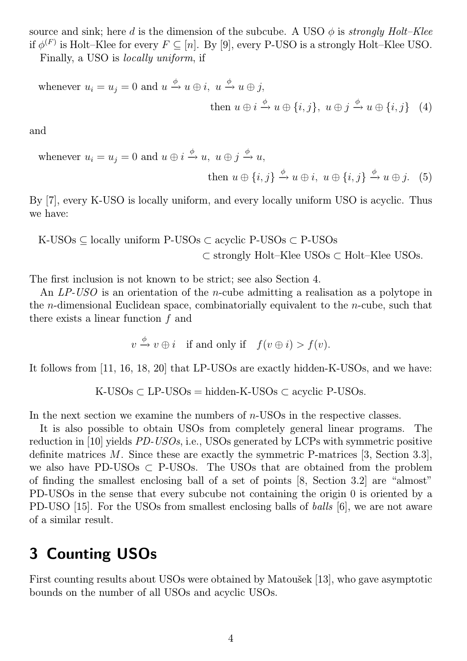source and sink; here d is the dimension of the subcube. A USO  $\phi$  is *strongly Holt–Klee* if  $\phi^{(F)}$  is Holt–Klee for every  $F \subseteq [n]$ . By [9], every P-USO is a strongly Holt–Klee USO. Finally, a USO is locally uniform, if

whenever 
$$
u_i = u_j = 0
$$
 and  $u \xrightarrow{\phi} u \oplus i$ ,  $u \xrightarrow{\phi} u \oplus j$ ,  
then  $u \oplus i \xrightarrow{\phi} u \oplus \{i, j\}$ ,  $u \oplus j \xrightarrow{\phi} u \oplus \{i, j\}$  (4)

and

whenever 
$$
u_i = u_j = 0
$$
 and  $u \oplus i \xrightarrow{\phi} u$ ,  $u \oplus j \xrightarrow{\phi} u$ ,  
then  $u \oplus \{i, j\} \xrightarrow{\phi} u \oplus i$ ,  $u \oplus \{i, j\} \xrightarrow{\phi} u \oplus j$ . (5)

By [7], every K-USO is locally uniform, and every locally uniform USO is acyclic. Thus we have:

K-USOs
$$
\subseteq
$$
 locally uniform P-USOs $\subset$ acyclic P-USOs $\subset$ P-USOs $\subset$ Strongly Holt–Klee USOs $\subset$ Holt–Klee USOs.

The first inclusion is not known to be strict; see also Section 4.

An LP-USO is an orientation of the *n*-cube admitting a realisation as a polytope in the n-dimensional Euclidean space, combinatorially equivalent to the n-cube, such that there exists a linear function  $f$  and

$$
v \xrightarrow{\phi} v \oplus i \quad \text{if and only if} \quad f(v \oplus i) > f(v).
$$

It follows from [11, 16, 18, 20] that LP-USOs are exactly hidden-K-USOs, and we have:

K-USOs ⊂ LP-USOs = hidden-K-USOs ⊂ acyclic P-USOs.

In the next section we examine the numbers of *n*-USOs in the respective classes.

It is also possible to obtain USOs from completely general linear programs. The reduction in [10] yields PD-USOs, i.e., USOs generated by LCPs with symmetric positive definite matrices M. Since these are exactly the symmetric P-matrices [3, Section 3.3], we also have PD-USOs  $\subset$  P-USOs. The USOs that are obtained from the problem of finding the smallest enclosing ball of a set of points [8, Section 3.2] are "almost" PD-USOs in the sense that every subcube not containing the origin 0 is oriented by a PD-USO [15]. For the USOs from smallest enclosing balls of balls [6], we are not aware of a similar result.

## 3 Counting USOs

First counting results about USOs were obtained by Matoušek [13], who gave asymptotic bounds on the number of all USOs and acyclic USOs.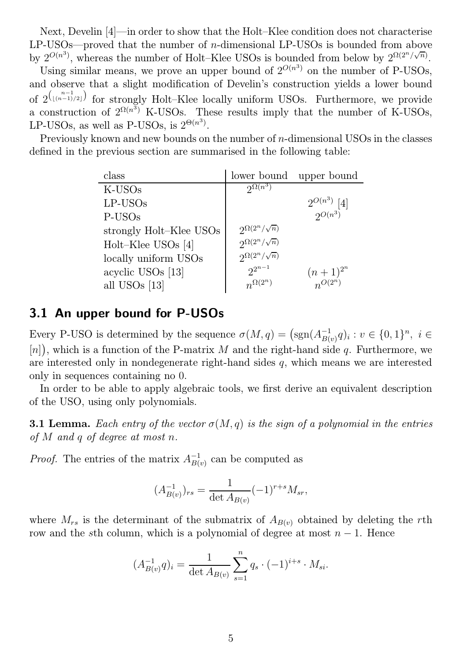Next, Develin [4]—in order to show that the Holt–Klee condition does not characterise LP-USOs—proved that the number of n-dimensional LP-USOs is bounded from above by  $2^{O(n^3)}$ , whereas the number of Holt–Klee USOs is bounded from below by  $2^{\Omega(2^n/\sqrt{n})}$ .

Using similar means, we prove an upper bound of  $2^{O(n^3)}$  on the number of P-USOs, and observe that a slight modification of Develin's construction yields a lower bound of  $2^{\binom{n-1}{\lfloor (n-1)/2 \rfloor}}$  for strongly Holt–Klee locally uniform USOs. Furthermore, we provide a construction of  $2^{\Omega(n^3)}$  K-USOs. These results imply that the number of K-USOs, LP-USOs, as well as P-USOs, is  $2^{\Theta(n^3)}$ .

Previously known and new bounds on the number of n-dimensional USOs in the classes defined in the previous section are summarised in the following table:

| class                   |                            | lower bound upper bound            |
|-------------------------|----------------------------|------------------------------------|
| K-USOs                  | $\Omega(n^3)$              |                                    |
| $LP$ -USOs              |                            | $\frac{2^{O(n^3)}[4]}{2^{O(n^3)}}$ |
| P-USOs                  |                            |                                    |
| strongly Holt-Klee USOs | $2^{\Omega(2^n/\sqrt{n})}$ |                                    |
| Holt–Klee USOs $[4]$    | $2^{\Omega(2^n/\sqrt{n})}$ |                                    |
| locally uniform USOs    | $2^{\Omega(2^n/\sqrt{n})}$ |                                    |
| acyclic USOs [13]       | $2^{n-1}$                  | $\frac{(n+1)^{2^n}}{n^{O(2^n)}}$   |
| all USOs [13]           | $n^{\Omega(2^n)}$          |                                    |
|                         |                            |                                    |

#### 3.1 An upper bound for P-USOs

Every P-USO is determined by the sequence  $\sigma(M, q) = (\text{sgn}(A_{B(v)}^{-1}q)_i : v \in \{0, 1\}^n, i \in$  $[n]$ , which is a function of the P-matrix M and the right-hand side q. Furthermore, we are interested only in nondegenerate right-hand sides  $q$ , which means we are interested only in sequences containing no 0.

In order to be able to apply algebraic tools, we first derive an equivalent description of the USO, using only polynomials.

**3.1 Lemma.** Each entry of the vector  $\sigma(M, q)$  is the sign of a polynomial in the entries of M and q of degree at most n.

*Proof.* The entries of the matrix  $A_{B(v)}^{-1}$  can be computed as

$$
(A_{B(v)}^{-1})_{rs} = \frac{1}{\det A_{B(v)}} (-1)^{r+s} M_{sr},
$$

where  $M_{rs}$  is the determinant of the submatrix of  $A_{B(v)}$  obtained by deleting the rth row and the sth column, which is a polynomial of degree at most  $n-1$ . Hence

$$
(A_{B(v)}^{-1}q)_i = \frac{1}{\det A_{B(v)}} \sum_{s=1}^n q_s \cdot (-1)^{i+s} \cdot M_{si}.
$$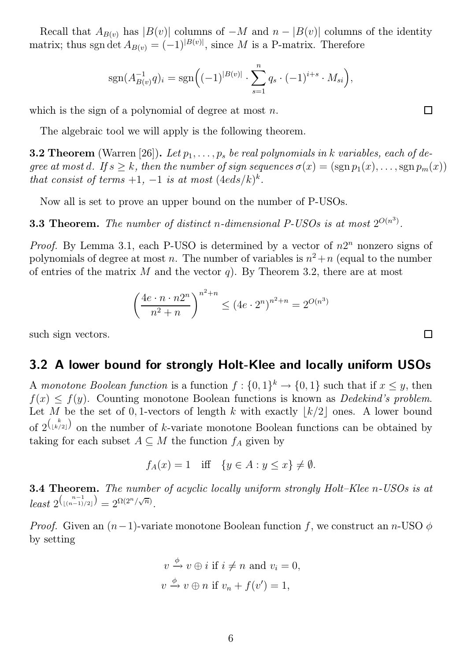Recall that  $A_{B(v)}$  has  $|B(v)|$  columns of  $-M$  and  $n - |B(v)|$  columns of the identity matrix; thus sgn det  $A_{B(v)} = (-1)^{|B(v)|}$ , since M is a P-matrix. Therefore

$$
sgn(A_{B(v)}^{-1}q)_i = sgn((-1)^{|B(v)|} \cdot \sum_{s=1}^{n} q_s \cdot (-1)^{i+s} \cdot M_{si}),
$$

which is the sign of a polynomial of degree at most  $n$ .

The algebraic tool we will apply is the following theorem.

**3.2 Theorem** (Warren [26]). Let  $p_1, \ldots, p_s$  be real polynomials in k variables, each of degree at most d. If  $s \geq k$ , then the number of sign sequences  $\sigma(x) = (\text{sgn } p_1(x), \ldots, \text{sgn } p_m(x))$ that consist of terms  $+1$ ,  $-1$  is at most  $(4eds/k)^k$ .

Now all is set to prove an upper bound on the number of P-USOs.

**3.3 Theorem.** The number of distinct n-dimensional P-USOs is at most  $2^{O(n^3)}$ .

*Proof.* By Lemma 3.1, each P-USO is determined by a vector of  $n2^n$  nonzero signs of polynomials of degree at most n. The number of variables is  $n^2 + n$  (equal to the number of entries of the matrix M and the vector q). By Theorem 3.2, there are at most

$$
\left(\frac{4e \cdot n \cdot n2^{n}}{n^2 + n}\right)^{n^2 + n} \le (4e \cdot 2^n)^{n^2 + n} = 2^{O(n^3)}
$$

such sign vectors.

#### 3.2 A lower bound for strongly Holt-Klee and locally uniform USOs

A monotone Boolean function is a function  $f: \{0,1\}^k \to \{0,1\}$  such that if  $x \leq y$ , then  $f(x) \leq f(y)$ . Counting monotone Boolean functions is known as *Dedekind's problem*. Let M be the set of 0, 1-vectors of length k with exactly  $\lfloor k/2 \rfloor$  ones. A lower bound of  $2^{\binom{k}{\lfloor k/2\rfloor}}$  on the number of k-variate monotone Boolean functions can be obtained by taking for each subset  $A \subseteq M$  the function  $f_A$  given by

 $f_A(x) = 1$  iff  $\{y \in A : y \leq x\} \neq \emptyset$ .

3.4 Theorem. The number of acyclic locally uniform strongly Holt-Klee n-USOs is at  $least\ 2^{\binom{n-1}{\lfloor (n-1)/2 \rfloor}}=2^{\Omega(2^n/\sqrt{n})}.$ 

*Proof.* Given an  $(n-1)$ -variate monotone Boolean function f, we construct an n-USO  $\phi$ by setting

$$
v \xrightarrow{\phi} v \oplus i
$$
 if  $i \neq n$  and  $v_i = 0$ ,  
\n $v \xrightarrow{\phi} v \oplus n$  if  $v_n + f(v') = 1$ ,

 $\Box$ 

 $\Box$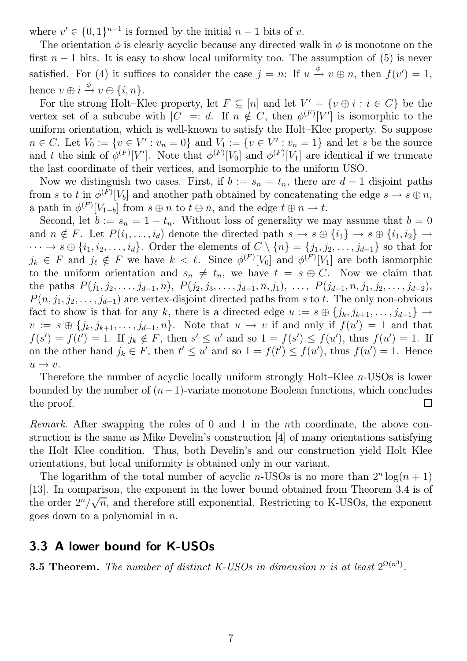where  $v' \in \{0,1\}^{n-1}$  is formed by the initial  $n-1$  bits of v.

The orientation  $\phi$  is clearly acyclic because any directed walk in  $\phi$  is monotone on the first  $n-1$  bits. It is easy to show local uniformity too. The assumption of (5) is never satisfied. For (4) it suffices to consider the case  $j = n$ : If  $u \stackrel{\phi}{\to} v \oplus n$ , then  $f(v') = 1$ , hence  $v \oplus i \xrightarrow{\phi} v \oplus \{i, n\}.$ 

For the strong Holt–Klee property, let  $F \subseteq [n]$  and let  $V' = \{v \oplus i : i \in C\}$  be the vertex set of a subcube with  $|C| =: d$ . If  $n \notin C$ , then  $\phi^{(F)}[V']$  is isomorphic to the uniform orientation, which is well-known to satisfy the Holt–Klee property. So suppose  $n \in C$ . Let  $V_0 := \{v \in V' : v_n = 0\}$  and  $V_1 := \{v \in V' : v_n = 1\}$  and let s be the source and t the sink of  $\phi^{(F)}[V']$ . Note that  $\phi^{(F)}[V_0]$  and  $\phi^{(F)}[V_1]$  are identical if we truncate the last coordinate of their vertices, and isomorphic to the uniform USO.

Now we distinguish two cases. First, if  $b := s_n = t_n$ , there are  $d-1$  disjoint paths from s to t in  $\phi^{(F)}[V_b]$  and another path obtained by concatenating the edge  $s \to s \oplus n$ , a path in  $\phi^{(F)}[V_{1-b}]$  from  $s \oplus n$  to  $t \oplus n$ , and the edge  $t \oplus n \to t$ .

Second, let  $b := s_n = 1 - t_n$ . Without loss of generality we may assume that  $b = 0$ and  $n \notin F$ . Let  $P(i_1, \ldots, i_d)$  denote the directed path  $s \to s \oplus \{i_1\} \to s \oplus \{i_1, i_2\} \to$  $\cdots \to s \oplus \{i_1, i_2, \ldots, i_d\}.$  Order the elements of  $C \setminus \{n\} = \{j_1, j_2, \ldots, j_{d-1}\}$  so that for  $j_k \in F$  and  $j_\ell \notin F$  we have  $k < \ell$ . Since  $\phi^{(F)}[V_0]$  and  $\phi^{(F)}[V_1]$  are both isomorphic to the uniform orientation and  $s_n \neq t_n$ , we have  $t = s \oplus C$ . Now we claim that the paths  $P(j_1, j_2, \ldots, j_{d-1}, n)$ ,  $P(j_2, j_3, \ldots, j_{d-1}, n, j_1)$ , ...,  $P(j_{d-1}, n, j_1, j_2, \ldots, j_{d-2})$ ,  $P(n, j_1, j_2, \ldots, j_{d-1})$  are vertex-disjoint directed paths from s to t. The only non-obvious fact to show is that for any k, there is a directed edge  $u := s \oplus \{j_k, j_{k+1}, \ldots, j_{d-1}\} \rightarrow$  $v := s \oplus \{j_k, j_{k+1}, \ldots, j_{d-1}, n\}.$  Note that  $u \to v$  if and only if  $f(u') = 1$  and that  $f(s') = f(t') = 1$ . If  $j_k \notin F$ , then  $s' \le u'$  and so  $1 = f(s') \le f(u')$ , thus  $f(u') = 1$ . If on the other hand  $j_k \in F$ , then  $t' \leq u'$  and so  $1 = f(t') \leq f(u')$ , thus  $f(u') = 1$ . Hence  $u \rightarrow v.$ 

Therefore the number of acyclic locally uniform strongly Holt–Klee n-USOs is lower bounded by the number of  $(n-1)$ -variate monotone Boolean functions, which concludes the proof. the proof.

Remark. After swapping the roles of 0 and 1 in the nth coordinate, the above construction is the same as Mike Develin's construction [4] of many orientations satisfying the Holt–Klee condition. Thus, both Develin's and our construction yield Holt–Klee orientations, but local uniformity is obtained only in our variant.

The logarithm of the total number of acyclic *n*-USOs is no more than  $2^n \log(n + 1)$ [13]. In comparison, the exponent in the lower bound obtained from Theorem 3.4 is of the order  $2^{n}/\sqrt{n}$ , and therefore still exponential. Restricting to K-USOs, the exponent goes down to a polynomial in  $n$ .

#### 3.3 A lower bound for K-USOs

**3.5 Theorem.** The number of distinct K-USOs in dimension n is at least  $2^{\Omega(n^3)}$ .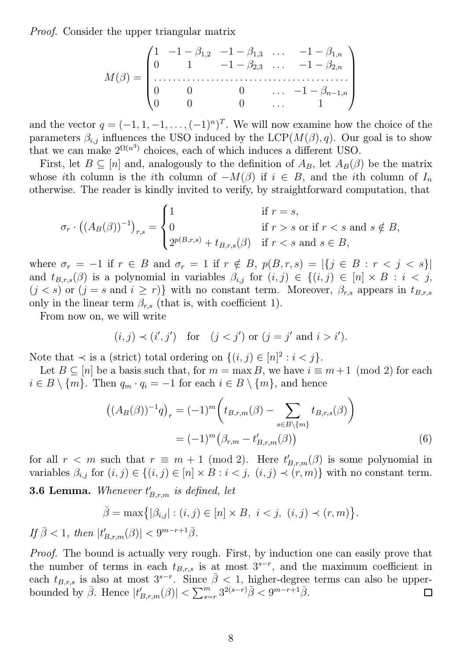Proof. Consider the upper triangular matrix

$$
M(\beta) = \begin{pmatrix} 1 & -1 - \beta_{1,2} & -1 - \beta_{1,3} & \dots & -1 - \beta_{1,n} \\ 0 & 1 & -1 - \beta_{2,3} & \dots & -1 - \beta_{2,n} \\ \dots & \dots & \dots & \dots & \dots & \dots \\ 0 & 0 & 0 & \dots & -1 - \beta_{n-1,n} \\ 0 & 0 & 0 & \dots & 1 \end{pmatrix}
$$

and the vector  $q = (-1, 1, -1, \ldots, (-1)^n)^T$ . We will now examine how the choice of the parameters  $\beta_{i,j}$  influences the USO induced by the LCP( $M(\beta), q$ ). Our goal is to show that we can make  $2^{\Omega(n^3)}$  choices, each of which induces a different USO.

First, let  $B \subseteq [n]$  and, analogously to the definition of  $A_B$ , let  $A_B(\beta)$  be the matrix whose ith column is the ith column of  $-M(\beta)$  if  $i \in B$ , and the ith column of  $I_n$ otherwise. The reader is kindly invited to verify, by straightforward computation, that

$$
\sigma_r \cdot ((A_B(\beta))^{-1})_{r,s} = \begin{cases} 1 & \text{if } r = s, \\ 0 & \text{if } r > s \text{ or if } r < s \text{ and } s \notin B, \\ 2^{p(B,r,s)} + t_{B,r,s}(\beta) & \text{if } r < s \text{ and } s \in B, \end{cases}
$$

where  $\sigma_r = -1$  if  $r \in B$  and  $\sigma_r = 1$  if  $r \notin B$ ,  $p(B, r, s) = |\{j \in B : r < j < s\}|$ and  $t_{B,r,s}(\beta)$  is a polynomial in variables  $\beta_{i,j}$  for  $(i,j) \in \{(i,j) \in [n] \times B : i < j,$  $(j < s)$  or  $(j = s$  and  $i \geq r$ } with no constant term. Moreover,  $\beta_{r,s}$  appears in  $t_{B,r,s}$ only in the linear term  $\beta_{r,s}$  (that is, with coefficient 1).

From now on, we will write

$$
(i, j) \prec (i', j')
$$
 for  $(j < j')$  or  $(j = j'$  and  $i > i')$ .

Note that  $\prec$  is a (strict) total ordering on  $\{(i, j) \in [n]^2 : i < j\}.$ 

Let  $B \subseteq [n]$  be a basis such that, for  $m = \max B$ , we have  $i \equiv m+1 \pmod{2}$  for each  $i \in B \setminus \{m\}$ . Then  $q_m \cdot q_i = -1$  for each  $i \in B \setminus \{m\}$ , and hence

$$
((A_B(\beta))^{-1}q)_r = (-1)^m \left( t_{B,r,m}(\beta) - \sum_{s \in B \setminus \{m\}} t_{B,r,s}(\beta) \right)
$$
  
=  $(-1)^m \left( \beta_{r,m} - t'_{B,r,m}(\beta) \right)$  (6)

.

for all  $r < m$  such that  $r \equiv m + 1 \pmod{2}$ . Here  $t'_{B,r,m}(\beta)$  is some polynomial in variables  $\beta_{i,j}$  for  $(i,j) \in \{(i,j) \in [n] \times B : i < j, (i,j) \prec (r,m)\}\$  with no constant term.

**3.6 Lemma.** Whenever  $t'_{B,r,m}$  is defined, let

$$
\bar{\beta} = \max\{|\beta_{i,j}| : (i,j) \in [n] \times B, i < j, (i,j) \prec (r,m)\}
$$

If  $\bar{\beta} < 1$ , then  $|t'_{B,r,m}(\beta)| < 9^{m-r+1}\bar{\beta}$ .

Proof. The bound is actually very rough. First, by induction one can easily prove that the number of terms in each  $t_{B,r,s}$  is at most  $3^{s-r}$ , and the maximum coefficient in each  $t_{B,r,s}$  is also at most  $3^{s-r}$ . Since  $\bar{\beta}$  < 1, higher-degree terms can also be upperbounded by  $\bar{\beta}$ . Hence  $|t'_{B,r,m}(\beta)| < \sum_{s=r}^{m} 3^{2(s-r)} \bar{\beta} < 9^{m-r+1} \bar{\beta}$ .  $\Box$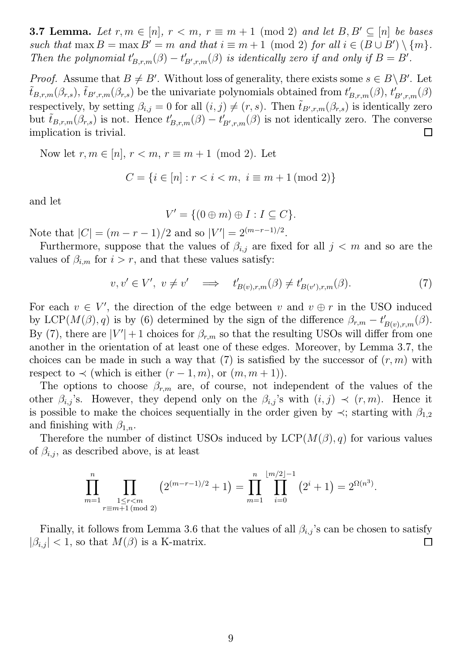**3.7 Lemma.** Let  $r, m \in [n]$ ,  $r < m$ ,  $r \equiv m + 1 \pmod{2}$  and let  $B, B' \subseteq [n]$  be bases such that  $\max B = \max B' = m$  and that  $i \equiv m + 1 \pmod{2}$  for all  $i \in (B \cup B') \setminus \{m\}.$ Then the polynomial  $t'_{B,r,m}(\beta) - t'_{B',r,m}(\beta)$  is identically zero if and only if  $B = B'$ .

*Proof.* Assume that  $B \neq B'$ . Without loss of generality, there exists some  $s \in B \ B'$ . Let  $\tilde{t}_{B,r,m}(\beta_{r,s}), \tilde{t}_{B',r,m}(\beta_{r,s})$  be the univariate polynomials obtained from  $t'_{B,r,m}(\beta), t'_{B',r,m}(\beta)$ respectively, by setting  $\beta_{i,j} = 0$  for all  $(i, j) \neq (r, s)$ . Then  $\tilde{t}_{B',r,m}(\beta_{r,s})$  is identically zero but  $\tilde{t}_{B,r,m}(\beta_{r,s})$  is not. Hence  $t'_{B,r,m}(\beta) - t'_{B',r,m}(\beta)$  is not identically zero. The converse implication is trivial.  $\Box$ 

Now let  $r, m \in [n], r < m, r \equiv m+1 \pmod{2}$ . Let

$$
C = \{ i \in [n] : r < i < m, \ i \equiv m + 1 \ (\text{mod } 2) \}
$$

and let

$$
V' = \{ (0 \oplus m) \oplus I : I \subseteq C \}.
$$

Note that  $|C| = (m - r - 1)/2$  and so  $|V'| = 2^{(m-r-1)/2}$ .

Furthermore, suppose that the values of  $\beta_{i,j}$  are fixed for all  $j < m$  and so are the values of  $\beta_{i,m}$  for  $i > r$ , and that these values satisfy:

$$
v, v' \in V', \ v \neq v' \implies t'_{B(v),r,m}(\beta) \neq t'_{B(v'),r,m}(\beta). \tag{7}
$$

.

For each  $v \in V'$ , the direction of the edge between v and  $v \oplus r$  in the USO induced by LCP( $M(\beta), q$ ) is by (6) determined by the sign of the difference  $\beta_{r,m} - t'_{B(v),r,m}(\beta)$ . By (7), there are  $|V'|+1$  choices for  $\beta_{r,m}$  so that the resulting USOs will differ from one another in the orientation of at least one of these edges. Moreover, by Lemma 3.7, the choices can be made in such a way that (7) is satisfied by the successor of  $(r, m)$  with respect to  $\prec$  (which is either  $(r-1,m)$ , or  $(m, m+1)$ ).

The options to choose  $\beta_{r,m}$  are, of course, not independent of the values of the other  $\beta_{i,j}$ 's. However, they depend only on the  $\beta_{i,j}$ 's with  $(i,j) \prec (r,m)$ . Hence it is possible to make the choices sequentially in the order given by  $\prec$ ; starting with  $\beta_{1,2}$ and finishing with  $\beta_{1,n}$ .

Therefore the number of distinct USOs induced by  $LCP(M(\beta), q)$  for various values of  $\beta_{i,j}$ , as described above, is at least

$$
\prod_{m=1}^{n} \prod_{\substack{1 \le r < m \\ r \equiv m+1 \pmod{2}}} \left( 2^{(m-r-1)/2} + 1 \right) = \prod_{m=1}^{n} \prod_{i=0}^{\lfloor m/2 \rfloor - 1} \left( 2^{i} + 1 \right) = 2^{\Omega(n^3)}
$$

Finally, it follows from Lemma 3.6 that the values of all  $\beta_{i,j}$ 's can be chosen to satisfy  $|\beta_{i,j}| < 1$ , so that  $M(\beta)$  is a K-matrix.  $\Box$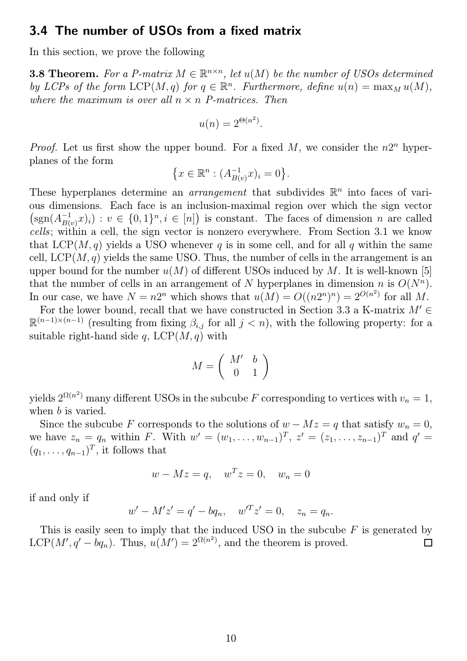### 3.4 The number of USOs from a fixed matrix

In this section, we prove the following

**3.8 Theorem.** For a P-matrix  $M \in \mathbb{R}^{n \times n}$ , let  $u(M)$  be the number of USOs determined by LCPs of the form  $\text{LCP}(M, q)$  for  $q \in \mathbb{R}^n$ . Furthermore, define  $u(n) = \max_M u(M)$ , where the maximum is over all  $n \times n$  P-matrices. Then

$$
u(n) = 2^{\Theta(n^2)}.
$$

*Proof.* Let us first show the upper bound. For a fixed  $M$ , we consider the  $n2^n$  hyperplanes of the form

$$
\{x \in \mathbb{R}^n : (A_{B(v)}^{-1}x)_i = 0\}.
$$

These hyperplanes determine an *arrangement* that subdivides  $\mathbb{R}^n$  into faces of various dimensions. Each face is an inclusion-maximal region over which the sign vector  $(\text{sgn}(A_{B(v)}^{-1}x)_i): v \in \{0,1\}^n, i \in [n]$  is constant. The faces of dimension n are called cells; within a cell, the sign vector is nonzero everywhere. From Section 3.1 we know that  $LCP(M, q)$  yields a USO whenever q is in some cell, and for all q within the same cell,  $LCP(M, q)$  yields the same USO. Thus, the number of cells in the arrangement is an upper bound for the number  $u(M)$  of different USOs induced by M. It is well-known [5] that the number of cells in an arrangement of N hyperplanes in dimension n is  $O(N^n)$ . In our case, we have  $N = n2^n$  which shows that  $u(M) = O((n2^n)^n) = 2^{O(n^2)}$  for all M.

For the lower bound, recall that we have constructed in Section 3.3 a K-matrix  $M' \in$  $\mathbb{R}^{(n-1)\times(n-1)}$  (resulting from fixing  $\beta_{i,j}$  for all  $j < n$ ), with the following property: for a suitable right-hand side q,  $LCP(M, q)$  with

$$
M = \left(\begin{array}{cc} M' & b \\ 0 & 1 \end{array}\right)
$$

yields  $2^{\Omega(n^2)}$  many different USOs in the subcube F corresponding to vertices with  $v_n = 1$ , when *b* is varied.

Since the subcube F corresponds to the solutions of  $w - Mz = q$  that satisfy  $w_n = 0$ , we have  $z_n = q_n$  within F. With  $w' = (w_1, \ldots, w_{n-1})^T$ ,  $z' = (z_1, \ldots, z_{n-1})^T$  and  $q' =$  $(q_1, \ldots, q_{n-1})^T$ , it follows that

$$
w - Mz = q, \quad w^T z = 0, \quad w_n = 0
$$

if and only if

$$
w' - M'z' = q' - bq_n, \quad w'^T z' = 0, \quad z_n = q_n.
$$

This is easily seen to imply that the induced USO in the subcube  $F$  is generated by  $LCP(M', q' - bq_n)$ . Thus,  $u(M') = 2^{\Omega(n^2)}$ , and the theorem is proved.  $\Box$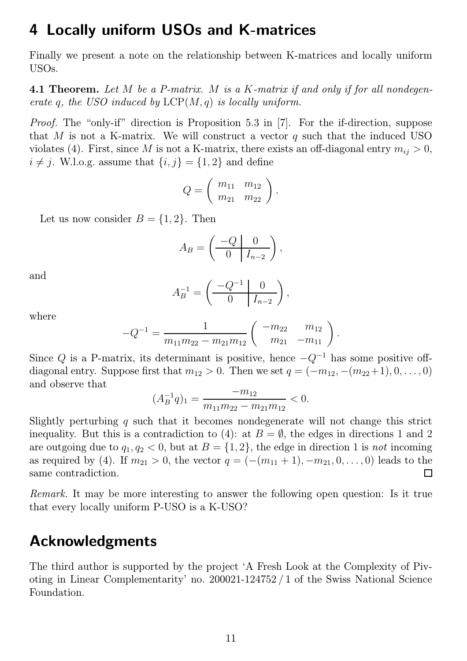## 4 Locally uniform USOs and K-matrices

Finally we present a note on the relationship between K-matrices and locally uniform USOs.

4.1 Theorem. Let M be a P-matrix. M is a K-matrix if and only if for all nondegenerate q, the USO induced by  $LCP(M, q)$  is locally uniform.

Proof. The "only-if" direction is Proposition 5.3 in [7]. For the if-direction, suppose that M is not a K-matrix. We will construct a vector q such that the induced USO violates (4). First, since M is not a K-matrix, there exists an off-diagonal entry  $m_{ij} > 0$ ,  $i \neq j$ . W.l.o.g. assume that  $\{i, j\} = \{1, 2\}$  and define

$$
Q = \left( \begin{array}{cc} m_{11} & m_{12} \\ m_{21} & m_{22} \end{array} \right).
$$

Let us now consider  $B = \{1, 2\}$ . Then

$$
A_B = \left(\begin{array}{c|c} -Q & 0 \\ \hline 0 & I_{n-2} \end{array}\right),\,
$$

and

$$
A_B^{-1} = \left(\begin{array}{c|c} -Q^{-1} & 0\\ \hline 0 & I_{n-2} \end{array}\right),\,
$$

where

$$
-Q^{-1} = \frac{1}{m_{11}m_{22} - m_{21}m_{12}} \begin{pmatrix} -m_{22} & m_{12} \\ m_{21} & -m_{11} \end{pmatrix}.
$$

Since Q is a P-matrix, its determinant is positive, hence  $-Q^{-1}$  has some positive offdiagonal entry. Suppose first that  $m_{12} > 0$ . Then we set  $q = (-m_{12}, -(m_{22}+1), 0, \ldots, 0)$ and observe that

$$
(A_B^{-1}q)_1 = \frac{-m_{12}}{m_{11}m_{22} - m_{21}m_{12}} < 0.
$$

Slightly perturbing q such that it becomes nondegenerate will not change this strict inequality. But this is a contradiction to (4): at  $B = \emptyset$ , the edges in directions 1 and 2 are outgoing due to  $q_1, q_2 < 0$ , but at  $B = \{1, 2\}$ , the edge in direction 1 is not incoming as required by (4). If  $m_{21} > 0$ , the vector  $q = (-(m_{11} + 1), -m_{21}, 0, \ldots, 0)$  leads to the same contradiction. same contradiction.

Remark. It may be more interesting to answer the following open question: Is it true that every locally uniform P-USO is a K-USO?

## Acknowledgments

The third author is supported by the project 'A Fresh Look at the Complexity of Pivoting in Linear Complementarity' no. 200021-124752 / 1 of the Swiss National Science Foundation.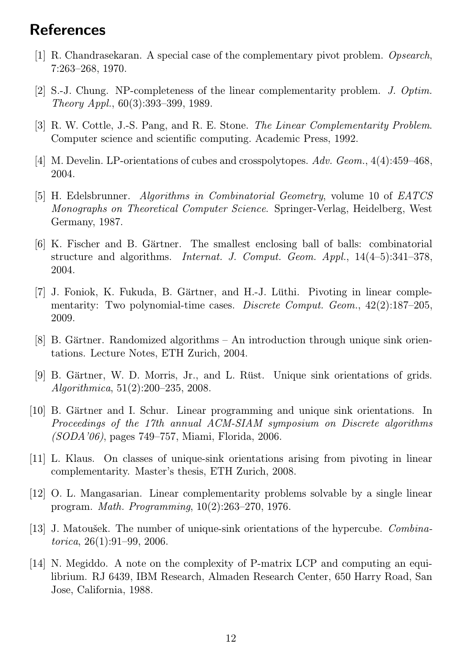## **References**

- [1] R. Chandrasekaran. A special case of the complementary pivot problem. Opsearch, 7:263–268, 1970.
- [2] S.-J. Chung. NP-completeness of the linear complementarity problem. J. Optim. Theory Appl., 60(3):393–399, 1989.
- [3] R. W. Cottle, J.-S. Pang, and R. E. Stone. The Linear Complementarity Problem. Computer science and scientific computing. Academic Press, 1992.
- [4] M. Develin. LP-orientations of cubes and crosspolytopes. Adv. Geom., 4(4):459–468, 2004.
- [5] H. Edelsbrunner. Algorithms in Combinatorial Geometry, volume 10 of EATCS Monographs on Theoretical Computer Science. Springer-Verlag, Heidelberg, West Germany, 1987.
- [6] K. Fischer and B. Gärtner. The smallest enclosing ball of balls: combinatorial structure and algorithms. Internat. J. Comput. Geom. Appl., 14(4–5):341–378, 2004.
- [7] J. Foniok, K. Fukuda, B. Gärtner, and H.-J. Lüthi. Pivoting in linear complementarity: Two polynomial-time cases. *Discrete Comput. Geom.*,  $42(2):187-205$ , 2009.
- [8] B. Gärtner. Randomized algorithms An introduction through unique sink orientations. Lecture Notes, ETH Zurich, 2004.
- [9] B. Gärtner, W. D. Morris, Jr., and L. Rüst. Unique sink orientations of grids. Algorithmica, 51(2):200–235, 2008.
- [10] B. Gärtner and I. Schur. Linear programming and unique sink orientations. In Proceedings of the 17th annual ACM-SIAM symposium on Discrete algorithms (SODA'06), pages 749–757, Miami, Florida, 2006.
- [11] L. Klaus. On classes of unique-sink orientations arising from pivoting in linear complementarity. Master's thesis, ETH Zurich, 2008.
- [12] O. L. Mangasarian. Linear complementarity problems solvable by a single linear program. Math. Programming, 10(2):263–270, 1976.
- [13] J. Matoušek. The number of unique-sink orientations of the hypercube. Combinatorica, 26(1):91–99, 2006.
- [14] N. Megiddo. A note on the complexity of P-matrix LCP and computing an equilibrium. RJ 6439, IBM Research, Almaden Research Center, 650 Harry Road, San Jose, California, 1988.